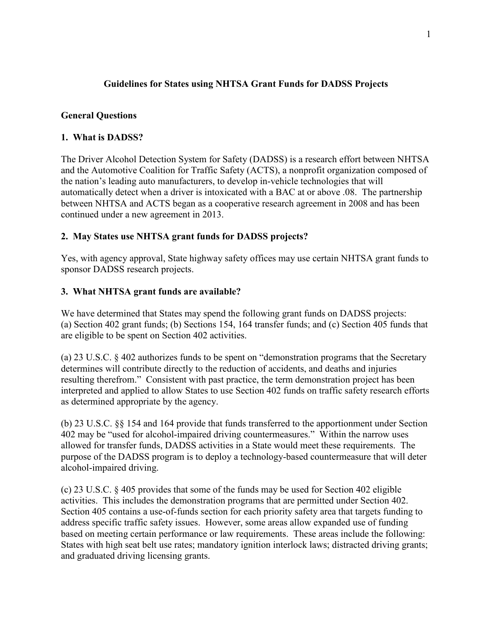# **Guidelines for States using NHTSA Grant Funds for DADSS Projects**

## **General Questions**

## **1. What is DADSS?**

The Driver Alcohol Detection System for Safety (DADSS) is a research effort between NHTSA and the Automotive Coalition for Traffic Safety (ACTS), a nonprofit organization composed of the nation's leading auto manufacturers, to develop in-vehicle technologies that will automatically detect when a driver is intoxicated with a BAC at or above .08. The partnership between NHTSA and ACTS began as a cooperative research agreement in 2008 and has been continued under a new agreement in 2013.

## **2. May States use NHTSA grant funds for DADSS projects?**

Yes, with agency approval, State highway safety offices may use certain NHTSA grant funds to sponsor DADSS research projects.

#### **3. What NHTSA grant funds are available?**

We have determined that States may spend the following grant funds on DADSS projects: (a) Section 402 grant funds; (b) Sections 154, 164 transfer funds; and (c) Section 405 funds that are eligible to be spent on Section 402 activities.

(a) 23 U.S.C. § 402 authorizes funds to be spent on "demonstration programs that the Secretary determines will contribute directly to the reduction of accidents, and deaths and injuries resulting therefrom." Consistent with past practice, the term demonstration project has been interpreted and applied to allow States to use Section 402 funds on traffic safety research efforts as determined appropriate by the agency.

(b) 23 U.S.C. §§ 154 and 164 provide that funds transferred to the apportionment under Section 402 may be "used for alcohol-impaired driving countermeasures." Within the narrow uses allowed for transfer funds, DADSS activities in a State would meet these requirements. The purpose of the DADSS program is to deploy a technology-based countermeasure that will deter alcohol-impaired driving.

(c) 23 U.S.C. § 405 provides that some of the funds may be used for Section 402 eligible activities. This includes the demonstration programs that are permitted under Section 402. Section 405 contains a use-of-funds section for each priority safety area that targets funding to address specific traffic safety issues. However, some areas allow expanded use of funding based on meeting certain performance or law requirements. These areas include the following: States with high seat belt use rates; mandatory ignition interlock laws; distracted driving grants; and graduated driving licensing grants.